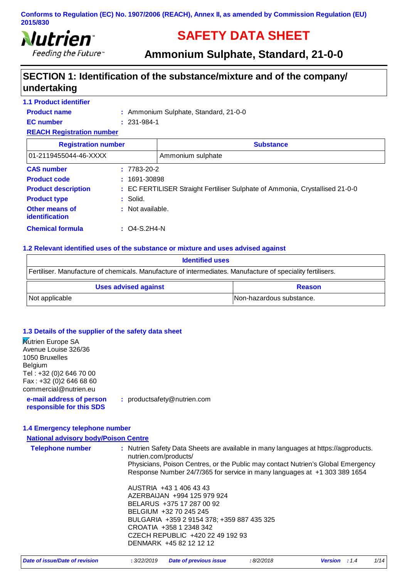

# **SAFETY DATA SHEET**

**Ammonium Sulphate, Standard, 21-0-0**

### **SECTION 1: Identification of the substance/mixture and of the company/ undertaking**

| <b>1.1 Product identifier</b>           |                         |                                                                              |
|-----------------------------------------|-------------------------|------------------------------------------------------------------------------|
| <b>Product name</b>                     |                         | : Ammonium Sulphate, Standard, 21-0-0                                        |
| <b>EC</b> number                        | $: 231 - 984 - 1$       |                                                                              |
| <b>REACH Registration number</b>        |                         |                                                                              |
| <b>Registration number</b>              |                         | <b>Substance</b>                                                             |
| 01-2119455044-46-XXXX                   |                         | Ammonium sulphate                                                            |
| <b>CAS number</b>                       | $: 7783 - 20 - 2$       |                                                                              |
| <b>Product code</b>                     | $: 1691 - 30898$        |                                                                              |
| <b>Product description</b>              |                         | : EC FERTILISER Straight Fertiliser Sulphate of Ammonia, Crystallised 21-0-0 |
| <b>Product type</b>                     | $:$ Solid.              |                                                                              |
| Other means of<br><b>identification</b> | : Not available.        |                                                                              |
| <b>Chemical formula</b>                 | $\therefore$ Q4-S.2H4-N |                                                                              |

#### **1.2 Relevant identified uses of the substance or mixture and uses advised against**

| <b>Identified uses</b>                                                                                     |  |  |
|------------------------------------------------------------------------------------------------------------|--|--|
| Fertiliser. Manufacture of chemicals. Manufacture of intermediates. Manufacture of speciality fertilisers. |  |  |
| <b>Uses advised against</b><br><b>Reason</b>                                                               |  |  |
|                                                                                                            |  |  |

#### **1.3 Details of the supplier of the safety data sheet**

| <b>Nutrien Europe SA</b><br>Avenue Louise 326/36<br>1050 Bruxelles<br>Belgium<br>Tel: +32 (0) 2 646 70 00<br>Fax: +32 (0) 2 646 68 60<br>commercial@nutrien.eu |                                                                                                                                                                                                                                                                               |
|----------------------------------------------------------------------------------------------------------------------------------------------------------------|-------------------------------------------------------------------------------------------------------------------------------------------------------------------------------------------------------------------------------------------------------------------------------|
| e-mail address of person<br>responsible for this SDS                                                                                                           | : productsafety@nutrien.com                                                                                                                                                                                                                                                   |
| 1.4 Emergency telephone number                                                                                                                                 |                                                                                                                                                                                                                                                                               |
| <b>National advisory body/Poison Centre</b>                                                                                                                    |                                                                                                                                                                                                                                                                               |
| <b>Telephone number</b>                                                                                                                                        | : Nutrien Safety Data Sheets are available in many languages at https://agproducts.<br>nutrien.com/products/<br>Physicians, Poison Centres, or the Public may contact Nutrien's Global Emergency<br>Response Number 24/7/365 for service in many languages at +1 303 389 1654 |
|                                                                                                                                                                | AUSTRIA +43 1 406 43 43<br>AZERBAIJAN +994 125 979 924<br>BELARUS +375 17 287 00 92<br>BELGIUM +32 70 245 245<br>BULGARIA +359 2 9154 378; +359 887 435 325<br>CROATIA +358 1 2348 342<br>CZECH REPUBLIC +420 22 49 192 93<br>DENMARK +45 82 12 12 12                         |

| Date of issue/Date of revision | : 3/22/2019 | <b>Date of previous issue</b> | :8/2/2018 |  |
|--------------------------------|-------------|-------------------------------|-----------|--|
|--------------------------------|-------------|-------------------------------|-----------|--|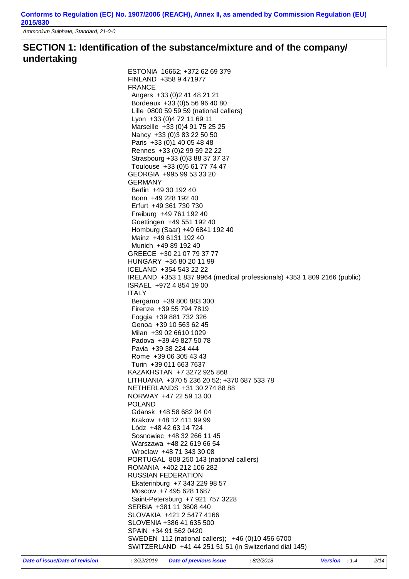*Ammonium Sulphate, Standard, 21-0-0*

### **SECTION 1: Identification of the substance/mixture and of the company/ undertaking**

| ESTONIA 16662; +372 62 69 379                                            |
|--------------------------------------------------------------------------|
| FINLAND +358 9 471977                                                    |
| <b>FRANCE</b>                                                            |
| Angers +33 (0) 2 41 48 21 21                                             |
| Bordeaux +33 (0) 5 56 96 40 80                                           |
| Lille 0800 59 59 59 (national callers)                                   |
|                                                                          |
| Lyon +33 (0) 4 72 11 69 11                                               |
| Marseille +33 (0)4 91 75 25 25                                           |
| Nancy +33 (0) 3 83 22 50 50                                              |
| Paris +33 (0) 1 40 05 48 48                                              |
| Rennes +33 (0) 2 99 59 22 22                                             |
| Strasbourg +33 (0) 3 88 37 37 37                                         |
| Toulouse +33 (0) 5 61 77 74 47                                           |
| GEORGIA +995 99 53 33 20                                                 |
| <b>GERMANY</b>                                                           |
| Berlin +49 30 192 40                                                     |
| Bonn +49 228 192 40                                                      |
| Erfurt +49 361 730 730                                                   |
| Freiburg +49 761 192 40                                                  |
|                                                                          |
| Goettingen +49 551 192 40                                                |
| Homburg (Saar) +49 6841 192 40                                           |
| Mainz +49 6131 192 40                                                    |
| Munich +49 89 192 40                                                     |
| GREECE +30 21 07 79 37 77                                                |
| HUNGARY +36 80 20 11 99                                                  |
| ICELAND +354 543 22 22                                                   |
| IRELAND +353 1 837 9964 (medical professionals) +353 1 809 2166 (public) |
| ISRAEL +972 4 854 19 00                                                  |
| <b>ITALY</b>                                                             |
| Bergamo +39 800 883 300                                                  |
| Firenze +39 55 794 7819                                                  |
| Foggia +39 881 732 326                                                   |
| Genoa +39 10 563 62 45                                                   |
| Milan +39 02 6610 1029                                                   |
| Padova +39 49 827 50 78                                                  |
| Pavia +39 38 224 444                                                     |
|                                                                          |
| Rome +39 06 305 43 43                                                    |
| Turin +39 011 663 7637                                                   |
| KAZAKHSTAN +7 3272 925 868                                               |
| LITHUANIA +370 5 236 20 52; +370 687 533 78                              |
| NETHERLANDS +31 30 274 88 88                                             |
| NORWAY +47 22 59 13 00                                                   |
| <b>POLAND</b>                                                            |
| Gdansk +48 58 682 04 04                                                  |
| Krakow +48 12 411 99 99                                                  |
| Lòdz +48 42 63 14 724                                                    |
| Sosnowiec +48 32 266 11 45                                               |
| Warszawa +48 22 619 66 54                                                |
| Wroclaw +48 71 343 30 08                                                 |
| PORTUGAL 808 250 143 (national callers)                                  |
|                                                                          |
| ROMANIA +402 212 106 282                                                 |
| <b>RUSSIAN FEDERATION</b>                                                |
| Ekaterinburg +7 343 229 98 57                                            |
| Moscow +7 495 628 1687                                                   |
| Saint-Petersburg +7 921 757 3228                                         |
| SERBIA +381 11 3608 440                                                  |
| SLOVAKIA +421 2 5477 4166                                                |
| SLOVENIA +386 41 635 500                                                 |
| SPAIN +34 91 562 0420                                                    |
| SWEDEN 112 (national callers); +46 (0)10 456 6700                        |
| SWITZERLAND +41 44 251 51 51 (in Switzerland dial 145)                   |
|                                                                          |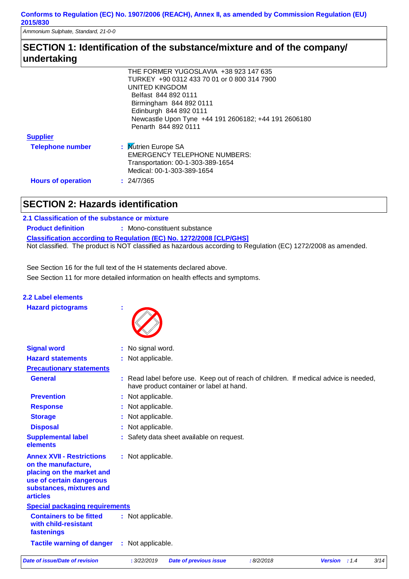*Ammonium Sulphate, Standard, 21-0-0*

### **SECTION 1: Identification of the substance/mixture and of the company/ undertaking**

|                           | THE FORMER YUGOSLAVIA +38 923 147 635                |
|---------------------------|------------------------------------------------------|
|                           | TURKEY +90 0312 433 70 01 or 0 800 314 7900          |
|                           | UNITED KINGDOM                                       |
|                           | Belfast 844 892 0111                                 |
|                           | Birmingham 844 892 0111                              |
|                           | Edinburgh 844 892 0111                               |
|                           | Newcastle Upon Tyne +44 191 2606182; +44 191 2606180 |
|                           | Penarth 844 892 0111                                 |
| <b>Supplier</b>           |                                                      |
| <b>Telephone number</b>   | : Mutrien Europe SA                                  |
|                           | <b>EMERGENCY TELEPHONE NUMBERS:</b>                  |
|                           | Transportation: 00-1-303-389-1654                    |
|                           | Medical: 00-1-303-389-1654                           |
| <b>Hours of operation</b> | : 24/7/365                                           |

### **SECTION 2: Hazards identification**

#### **2.1 Classification of the substance or mixture**

**2.2 Label elements**

**Classification according to Regulation (EC) No. 1272/2008 [CLP/GHS] Product definition :** Mono-constituent substance Not classified. The product is NOT classified as hazardous according to Regulation (EC) 1272/2008 as amended.

See Section 11 for more detailed information on health effects and symptoms. See Section 16 for the full text of the H statements declared above.

| <b>Hazard pictograms</b>                                                                                                                                        |                                                                                                                                  |
|-----------------------------------------------------------------------------------------------------------------------------------------------------------------|----------------------------------------------------------------------------------------------------------------------------------|
| <b>Signal word</b>                                                                                                                                              | : No signal word.                                                                                                                |
| <b>Hazard statements</b>                                                                                                                                        | : Not applicable.                                                                                                                |
| <b>Precautionary statements</b>                                                                                                                                 |                                                                                                                                  |
| <b>General</b>                                                                                                                                                  | : Read label before use. Keep out of reach of children. If medical advice is needed,<br>have product container or label at hand. |
| <b>Prevention</b>                                                                                                                                               | : Not applicable.                                                                                                                |
| <b>Response</b>                                                                                                                                                 | : Not applicable.                                                                                                                |
| <b>Storage</b>                                                                                                                                                  | : Not applicable.                                                                                                                |
| <b>Disposal</b>                                                                                                                                                 | : Not applicable.                                                                                                                |
| <b>Supplemental label</b><br>elements                                                                                                                           | : Safety data sheet available on request.                                                                                        |
| <b>Annex XVII - Restrictions</b><br>on the manufacture,<br>placing on the market and<br>use of certain dangerous<br>substances, mixtures and<br><b>articles</b> | : Not applicable.                                                                                                                |
| <b>Special packaging requirements</b>                                                                                                                           |                                                                                                                                  |
| <b>Containers to be fitted</b><br>with child-resistant<br>fastenings                                                                                            | : Not applicable.                                                                                                                |
| <b>Tactile warning of danger</b>                                                                                                                                | : Not applicable.                                                                                                                |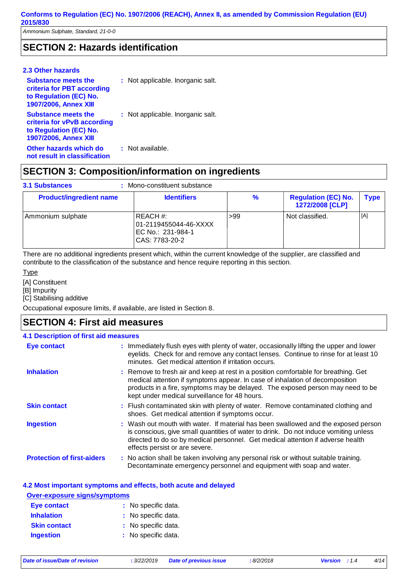*Ammonium Sulphate, Standard, 21-0-0*

### **SECTION 2: Hazards identification**

| 2.3 Other hazards                                                                                                   |                                   |
|---------------------------------------------------------------------------------------------------------------------|-----------------------------------|
| <b>Substance meets the</b><br>criteria for PBT according<br>to Regulation (EC) No.<br><b>1907/2006, Annex XIII</b>  | : Not applicable. Inorganic salt. |
| <b>Substance meets the</b><br>criteria for vPvB according<br>to Regulation (EC) No.<br><b>1907/2006, Annex XIII</b> | : Not applicable. Inorganic salt. |
| Other hazards which do<br>not result in classification                                                              | : Not available.                  |

### **SECTION 3: Composition/information on ingredients**

#### Mono-constituent substance **: 3.1 Substances**

| <b>Product/ingredient name</b> | <b>Identifiers</b>                                                           | %   | <b>Regulation (EC) No.</b><br>1272/2008 [CLP] | <b>Type</b> |
|--------------------------------|------------------------------------------------------------------------------|-----|-----------------------------------------------|-------------|
| Ammonium sulphate              | I REACH #:<br>01-2119455044-46-XXXX<br>IEC No.: 231-984-1<br> CAS: 7783-20-2 | >99 | Not classified.                               | [A]         |

There are no additional ingredients present which, within the current knowledge of the supplier, are classified and contribute to the classification of the substance and hence require reporting in this section.

#### **Type**

[A] Constituent

[B] Impurity

[C] Stabilising additive

Occupational exposure limits, if available, are listed in Section 8.

#### **SECTION 4: First aid measures**

#### **4.1 Description of first aid measures**

| <b>Eye contact</b>                | : Immediately flush eyes with plenty of water, occasionally lifting the upper and lower<br>eyelids. Check for and remove any contact lenses. Continue to rinse for at least 10<br>minutes. Get medical attention if irritation occurs.                                                                 |
|-----------------------------------|--------------------------------------------------------------------------------------------------------------------------------------------------------------------------------------------------------------------------------------------------------------------------------------------------------|
| <b>Inhalation</b>                 | : Remove to fresh air and keep at rest in a position comfortable for breathing. Get<br>medical attention if symptoms appear. In case of inhalation of decomposition<br>products in a fire, symptoms may be delayed. The exposed person may need to be<br>kept under medical surveillance for 48 hours. |
| <b>Skin contact</b>               | : Flush contaminated skin with plenty of water. Remove contaminated clothing and<br>shoes. Get medical attention if symptoms occur.                                                                                                                                                                    |
| <b>Ingestion</b>                  | : Wash out mouth with water. If material has been swallowed and the exposed person<br>is conscious, give small quantities of water to drink. Do not induce vomiting unless<br>directed to do so by medical personnel. Get medical attention if adverse health<br>effects persist or are severe.        |
| <b>Protection of first-aiders</b> | : No action shall be taken involving any personal risk or without suitable training.<br>Decontaminate emergency personnel and equipment with soap and water.                                                                                                                                           |

#### **4.2 Most important symptoms and effects, both acute and delayed**

| <b>Over-exposure signs/symptoms</b> |                     |  |
|-------------------------------------|---------------------|--|
| <b>Eye contact</b>                  | : No specific data. |  |
| <b>Inhalation</b>                   | : No specific data. |  |
| <b>Skin contact</b>                 | : No specific data. |  |
| <b>Ingestion</b>                    | : No specific data. |  |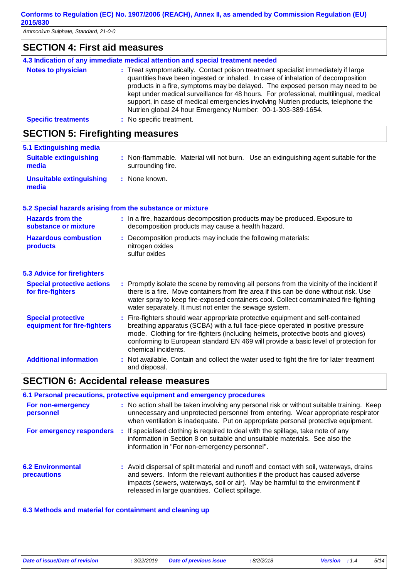*Ammonium Sulphate, Standard, 21-0-0*

| <b>SECTION 4: First aid measures</b>                     |                                                                                                                                                                                                                                                                                                                                                                                                                                                                                                      |  |
|----------------------------------------------------------|------------------------------------------------------------------------------------------------------------------------------------------------------------------------------------------------------------------------------------------------------------------------------------------------------------------------------------------------------------------------------------------------------------------------------------------------------------------------------------------------------|--|
|                                                          | 4.3 Indication of any immediate medical attention and special treatment needed                                                                                                                                                                                                                                                                                                                                                                                                                       |  |
| <b>Notes to physician</b>                                | : Treat symptomatically. Contact poison treatment specialist immediately if large<br>quantities have been ingested or inhaled. In case of inhalation of decomposition<br>products in a fire, symptoms may be delayed. The exposed person may need to be<br>kept under medical surveillance for 48 hours. For professional, multilingual, medical<br>support, in case of medical emergencies involving Nutrien products, telephone the<br>Nutrien global 24 hour Emergency Number: 00-1-303-389-1654. |  |
| <b>Specific treatments</b>                               | : No specific treatment.                                                                                                                                                                                                                                                                                                                                                                                                                                                                             |  |
| <b>SECTION 5: Firefighting measures</b>                  |                                                                                                                                                                                                                                                                                                                                                                                                                                                                                                      |  |
| 5.1 Extinguishing media                                  |                                                                                                                                                                                                                                                                                                                                                                                                                                                                                                      |  |
| <b>Suitable extinguishing</b><br>media                   | : Non-flammable. Material will not burn. Use an extinguishing agent suitable for the<br>surrounding fire.                                                                                                                                                                                                                                                                                                                                                                                            |  |
| <b>Unsuitable extinguishing</b><br>media                 | : None known.                                                                                                                                                                                                                                                                                                                                                                                                                                                                                        |  |
|                                                          | 5.2 Special hazards arising from the substance or mixture                                                                                                                                                                                                                                                                                                                                                                                                                                            |  |
| <b>Hazards from the</b><br>substance or mixture          | : In a fire, hazardous decomposition products may be produced. Exposure to<br>decomposition products may cause a health hazard.                                                                                                                                                                                                                                                                                                                                                                      |  |
| <b>Hazardous combustion</b><br>products                  | : Decomposition products may include the following materials:<br>nitrogen oxides<br>sulfur oxides                                                                                                                                                                                                                                                                                                                                                                                                    |  |
| <b>5.3 Advice for firefighters</b>                       |                                                                                                                                                                                                                                                                                                                                                                                                                                                                                                      |  |
| <b>Special protective actions</b><br>for fire-fighters   | : Promptly isolate the scene by removing all persons from the vicinity of the incident if<br>there is a fire. Move containers from fire area if this can be done without risk. Use<br>water spray to keep fire-exposed containers cool. Collect contaminated fire-fighting<br>water separately. It must not enter the sewage system.                                                                                                                                                                 |  |
| <b>Special protective</b><br>equipment for fire-fighters | : Fire-fighters should wear appropriate protective equipment and self-contained<br>breathing apparatus (SCBA) with a full face-piece operated in positive pressure<br>mode. Clothing for fire-fighters (including helmets, protective boots and gloves)<br>conforming to European standard EN 469 will provide a basic level of protection for<br>chemical incidents.                                                                                                                                |  |
| <b>Additional information</b>                            | : Not available. Contain and collect the water used to fight the fire for later treatment<br>and disposal.                                                                                                                                                                                                                                                                                                                                                                                           |  |

## **SECTION 6: Accidental release measures**

|                                                | 6.1 Personal precautions, protective equipment and emergency procedures                                                                                                                                                                                                                                       |
|------------------------------------------------|---------------------------------------------------------------------------------------------------------------------------------------------------------------------------------------------------------------------------------------------------------------------------------------------------------------|
| For non-emergency<br>personnel                 | : No action shall be taken involving any personal risk or without suitable training. Keep<br>unnecessary and unprotected personnel from entering. Wear appropriate respirator<br>when ventilation is inadequate. Put on appropriate personal protective equipment.                                            |
| For emergency responders                       | : If specialised clothing is required to deal with the spillage, take note of any<br>information in Section 8 on suitable and unsuitable materials. See also the<br>information in "For non-emergency personnel".                                                                                             |
| <b>6.2 Environmental</b><br><b>precautions</b> | : Avoid dispersal of spilt material and runoff and contact with soil, waterways, drains<br>and sewers. Inform the relevant authorities if the product has caused adverse<br>impacts (sewers, waterways, soil or air). May be harmful to the environment if<br>released in large quantities. Collect spillage. |

#### **6.3 Methods and material for containment and cleaning up**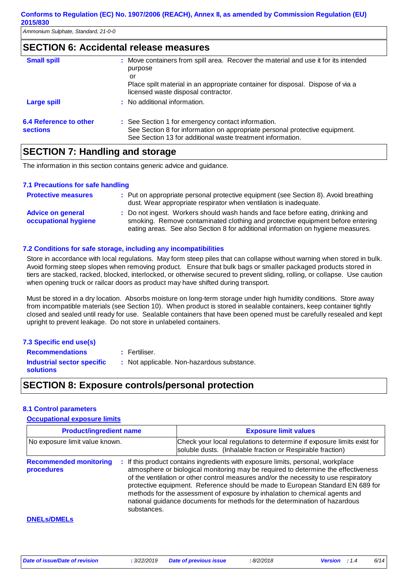### **SECTION 6: Accidental release measures**

| <b>Small spill</b>                        | : Move containers from spill area. Recover the material and use it for its intended<br>purpose                                                                                                  |
|-------------------------------------------|-------------------------------------------------------------------------------------------------------------------------------------------------------------------------------------------------|
|                                           | or<br>Place spilt material in an appropriate container for disposal. Dispose of via a<br>licensed waste disposal contractor.                                                                    |
| <b>Large spill</b>                        | : No additional information.                                                                                                                                                                    |
| 6.4 Reference to other<br><b>sections</b> | : See Section 1 for emergency contact information.<br>See Section 8 for information on appropriate personal protective equipment.<br>See Section 13 for additional waste treatment information. |

### **SECTION 7: Handling and storage**

The information in this section contains generic advice and guidance.

#### **7.1 Precautions for safe handling**

| <b>Protective measures</b>                       | : Put on appropriate personal protective equipment (see Section 8). Avoid breathing<br>dust. Wear appropriate respirator when ventilation is inadequate.                                                                                              |
|--------------------------------------------------|-------------------------------------------------------------------------------------------------------------------------------------------------------------------------------------------------------------------------------------------------------|
| <b>Advice on general</b><br>occupational hygiene | : Do not ingest. Workers should wash hands and face before eating, drinking and<br>smoking. Remove contaminated clothing and protective equipment before entering<br>eating areas. See also Section 8 for additional information on hygiene measures. |

#### **7.2 Conditions for safe storage, including any incompatibilities**

Store in accordance with local regulations. May form steep piles that can collapse without warning when stored in bulk. Avoid forming steep slopes when removing product. Ensure that bulk bags or smaller packaged products stored in tiers are stacked, racked, blocked, interlocked, or otherwise secured to prevent sliding, rolling, or collapse. Use caution when opening truck or railcar doors as product may have shifted during transport.

Must be stored in a dry location. Absorbs moisture on long-term storage under high humidity conditions. Store away from incompatible materials (see Section 10). When product is stored in sealable containers, keep container tightly closed and sealed until ready for use. Sealable containers that have been opened must be carefully resealed and kept upright to prevent leakage. Do not store in unlabeled containers.

#### **7.3 Specific end use(s)**

**Recommendations : Industrial sector specific : solutions** : Not applicable. Non-hazardous substance. : Fertiliser.

### **SECTION 8: Exposure controls/personal protection**

#### **8.1 Control parameters**

#### **Occupational exposure limits**

| <b>Product/ingredient name</b>                             | <b>Exposure limit values</b>                                                                                                                                                                                                                                                                                                                                                                                                                                                                                  |  |  |  |
|------------------------------------------------------------|---------------------------------------------------------------------------------------------------------------------------------------------------------------------------------------------------------------------------------------------------------------------------------------------------------------------------------------------------------------------------------------------------------------------------------------------------------------------------------------------------------------|--|--|--|
| No exposure limit value known.                             | Check your local regulations to determine if exposure limits exist for<br>soluble dusts. (Inhalable fraction or Respirable fraction)                                                                                                                                                                                                                                                                                                                                                                          |  |  |  |
| <b>Recommended monitoring</b><br>procedures<br>substances. | : If this product contains ingredients with exposure limits, personal, workplace<br>atmosphere or biological monitoring may be required to determine the effectiveness<br>of the ventilation or other control measures and/or the necessity to use respiratory<br>protective equipment. Reference should be made to European Standard EN 689 for<br>methods for the assessment of exposure by inhalation to chemical agents and<br>national guidance documents for methods for the determination of hazardous |  |  |  |
| <b>DNELS/DMELS</b>                                         |                                                                                                                                                                                                                                                                                                                                                                                                                                                                                                               |  |  |  |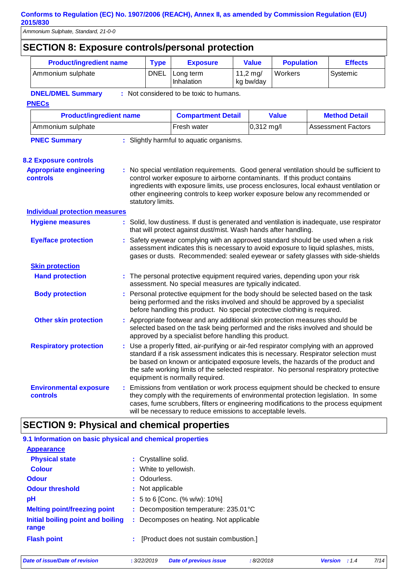| <b>SECTION 8: Exposure controls/personal protection</b>        |                                                                                                                                                                                                                                                           |                                                                                                                                                                                                                                                                                                                                                                                                |  |                                  |                   |  |                           |  |
|----------------------------------------------------------------|-----------------------------------------------------------------------------------------------------------------------------------------------------------------------------------------------------------------------------------------------------------|------------------------------------------------------------------------------------------------------------------------------------------------------------------------------------------------------------------------------------------------------------------------------------------------------------------------------------------------------------------------------------------------|--|----------------------------------|-------------------|--|---------------------------|--|
| <b>Product/ingredient name</b>                                 | <b>Type</b>                                                                                                                                                                                                                                               | <b>Exposure</b>                                                                                                                                                                                                                                                                                                                                                                                |  | <b>Value</b>                     | <b>Population</b> |  | <b>Effects</b>            |  |
| Ammonium sulphate                                              | <b>DNEL</b>                                                                                                                                                                                                                                               | Long term<br>Inhalation                                                                                                                                                                                                                                                                                                                                                                        |  | $11,2 \, \text{mg}$<br>kg bw/day | Workers           |  | Systemic                  |  |
| <b>DNEL/DMEL Summary</b>                                       |                                                                                                                                                                                                                                                           | : Not considered to be toxic to humans.                                                                                                                                                                                                                                                                                                                                                        |  |                                  |                   |  |                           |  |
| <b>PNECs</b>                                                   |                                                                                                                                                                                                                                                           |                                                                                                                                                                                                                                                                                                                                                                                                |  |                                  |                   |  |                           |  |
| <b>Product/ingredient name</b>                                 |                                                                                                                                                                                                                                                           | <b>Compartment Detail</b>                                                                                                                                                                                                                                                                                                                                                                      |  |                                  | <b>Value</b>      |  | <b>Method Detail</b>      |  |
| Ammonium sulphate                                              |                                                                                                                                                                                                                                                           | Fresh water                                                                                                                                                                                                                                                                                                                                                                                    |  | 0,312 mg/l                       |                   |  | <b>Assessment Factors</b> |  |
| <b>PNEC Summary</b>                                            |                                                                                                                                                                                                                                                           | : Slightly harmful to aquatic organisms.                                                                                                                                                                                                                                                                                                                                                       |  |                                  |                   |  |                           |  |
|                                                                |                                                                                                                                                                                                                                                           |                                                                                                                                                                                                                                                                                                                                                                                                |  |                                  |                   |  |                           |  |
| <b>8.2 Exposure controls</b><br><b>Appropriate engineering</b> |                                                                                                                                                                                                                                                           | : No special ventilation requirements. Good general ventilation should be sufficient to                                                                                                                                                                                                                                                                                                        |  |                                  |                   |  |                           |  |
| controls                                                       | statutory limits.                                                                                                                                                                                                                                         | control worker exposure to airborne contaminants. If this product contains<br>ingredients with exposure limits, use process enclosures, local exhaust ventilation or<br>other engineering controls to keep worker exposure below any recommended or                                                                                                                                            |  |                                  |                   |  |                           |  |
| <b>Individual protection measures</b>                          |                                                                                                                                                                                                                                                           |                                                                                                                                                                                                                                                                                                                                                                                                |  |                                  |                   |  |                           |  |
| <b>Hygiene measures</b>                                        |                                                                                                                                                                                                                                                           | : Solid, low dustiness. If dust is generated and ventilation is inadequate, use respirator<br>that will protect against dust/mist. Wash hands after handling.                                                                                                                                                                                                                                  |  |                                  |                   |  |                           |  |
| <b>Eye/face protection</b>                                     | : Safety eyewear complying with an approved standard should be used when a risk<br>assessment indicates this is necessary to avoid exposure to liquid splashes, mists,<br>gases or dusts. Recommended: sealed eyewear or safety glasses with side-shields |                                                                                                                                                                                                                                                                                                                                                                                                |  |                                  |                   |  |                           |  |
| <b>Skin protection</b>                                         |                                                                                                                                                                                                                                                           |                                                                                                                                                                                                                                                                                                                                                                                                |  |                                  |                   |  |                           |  |
| <b>Hand protection</b>                                         |                                                                                                                                                                                                                                                           | : The personal protective equipment required varies, depending upon your risk<br>assessment. No special measures are typically indicated.                                                                                                                                                                                                                                                      |  |                                  |                   |  |                           |  |
| <b>Body protection</b>                                         |                                                                                                                                                                                                                                                           | Personal protective equipment for the body should be selected based on the task<br>being performed and the risks involved and should be approved by a specialist<br>before handling this product. No special protective clothing is required.                                                                                                                                                  |  |                                  |                   |  |                           |  |
| <b>Other skin protection</b>                                   |                                                                                                                                                                                                                                                           | : Appropriate footwear and any additional skin protection measures should be<br>selected based on the task being performed and the risks involved and should be<br>approved by a specialist before handling this product.                                                                                                                                                                      |  |                                  |                   |  |                           |  |
| <b>Respiratory protection</b>                                  |                                                                                                                                                                                                                                                           | Use a properly fitted, air-purifying or air-fed respirator complying with an approved<br>standard if a risk assessment indicates this is necessary. Respirator selection must<br>be based on known or anticipated exposure levels, the hazards of the product and<br>the safe working limits of the selected respirator. No personal respiratory protective<br>equipment is normally required. |  |                                  |                   |  |                           |  |
| <b>Environmental exposure</b><br>controls                      |                                                                                                                                                                                                                                                           | Emissions from ventilation or work process equipment should be checked to ensure<br>they comply with the requirements of environmental protection legislation. In some<br>cases, fume scrubbers, filters or engineering modifications to the process equipment<br>will be necessary to reduce emissions to acceptable levels.                                                                  |  |                                  |                   |  |                           |  |

## **SECTION 9: Physical and chemical properties**

| 9.1 Information on basic physical and chemical properties |                                                 |
|-----------------------------------------------------------|-------------------------------------------------|
| <b>Appearance</b>                                         |                                                 |
| <b>Physical state</b>                                     | : Crystalline solid.                            |
| <b>Colour</b>                                             | : White to yellowish.                           |
| <b>Odour</b>                                              | : Odourless.                                    |
| <b>Odour threshold</b>                                    | : Not applicable                                |
| рH                                                        | : 5 to 6 [Conc. (% w/w): 10%]                   |
| <b>Melting point/freezing point</b>                       | : Decomposition temperature: $235.01^{\circ}$ C |
| Initial boiling point and boiling<br>range                | : Decomposes on heating. Not applicable         |
| <b>Flash point</b>                                        | [Product does not sustain combustion.]<br>÷     |
|                                                           |                                                 |

*Date of issue/Date of revision* **:** *3/22/2019 Date of previous issue : 8/2/2018 Version : 1.4 7/14*

 $\mathcal{L}_{\mathcal{A}}$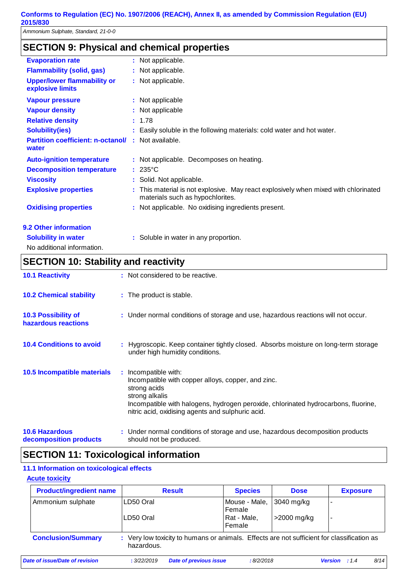### **SECTION 9: Physical and chemical properties**

| <b>Evaporation rate</b>                                | : Not applicable.                                                                                                       |
|--------------------------------------------------------|-------------------------------------------------------------------------------------------------------------------------|
| <b>Flammability (solid, gas)</b>                       | : Not applicable.                                                                                                       |
| <b>Upper/lower flammability or</b><br>explosive limits | : Not applicable.                                                                                                       |
| <b>Vapour pressure</b>                                 | : Not applicable                                                                                                        |
| <b>Vapour density</b>                                  | : Not applicable                                                                                                        |
| <b>Relative density</b>                                | : 1.78                                                                                                                  |
| <b>Solubility(ies)</b>                                 | : Easily soluble in the following materials: cold water and hot water.                                                  |
| <b>Partition coefficient: n-octanol/</b><br>water      | : Not available.                                                                                                        |
| <b>Auto-ignition temperature</b>                       | : Not applicable. Decomposes on heating.                                                                                |
| <b>Decomposition temperature</b>                       | $: 235^{\circ}$ C                                                                                                       |
| <b>Viscosity</b>                                       | : Solid. Not applicable.                                                                                                |
| <b>Explosive properties</b>                            | : This material is not explosive. May react explosively when mixed with chlorinated<br>materials such as hypochlorites. |
| <b>Oxidising properties</b>                            | : Not applicable. No oxidising ingredients present.                                                                     |
| 9.2 Other information                                  |                                                                                                                         |
| <b>Solubility in water</b>                             | : Soluble in water in any proportion.                                                                                   |

No additional information.

### **SECTION 10: Stability and reactivity**

| <b>10.1 Reactivity</b>                            | : Not considered to be reactive.                                                                                                                                                                                                                        |
|---------------------------------------------------|---------------------------------------------------------------------------------------------------------------------------------------------------------------------------------------------------------------------------------------------------------|
| <b>10.2 Chemical stability</b>                    | : The product is stable.                                                                                                                                                                                                                                |
| <b>10.3 Possibility of</b><br>hazardous reactions | : Under normal conditions of storage and use, hazardous reactions will not occur.                                                                                                                                                                       |
| <b>10.4 Conditions to avoid</b>                   | : Hygroscopic. Keep container tightly closed. Absorbs moisture on long-term storage<br>under high humidity conditions.                                                                                                                                  |
| 10.5 Incompatible materials                       | : Incompatible with:<br>Incompatible with copper alloys, copper, and zinc.<br>strong acids<br>strong alkalis<br>Incompatible with halogens, hydrogen peroxide, chlorinated hydrocarbons, fluorine,<br>nitric acid, oxidising agents and sulphuric acid. |
| <b>10.6 Hazardous</b><br>decomposition products   | : Under normal conditions of storage and use, hazardous decomposition products<br>should not be produced.                                                                                                                                               |

### **SECTION 11: Toxicological information**

#### **11.1 Information on toxicological effects**

#### **Acute toxicity**

| <b>Product/ingredient name</b> | <b>Result</b>                                                                                            | <b>Species</b>          | <b>Dose</b>  | <b>Exposure</b>          |
|--------------------------------|----------------------------------------------------------------------------------------------------------|-------------------------|--------------|--------------------------|
| Ammonium sulphate              | LD50 Oral                                                                                                | Mouse - Male,<br>Female | $3040$ mg/kg | ٠                        |
|                                | LD50 Oral                                                                                                | Rat - Male,<br>l Female | >2000 mg/kg  | $\overline{\phantom{a}}$ |
| <b>Conclusion/Summary</b>      | : Very low toxicity to humans or animals. Effects are not sufficient for classification as<br>hazardous. |                         |              |                          |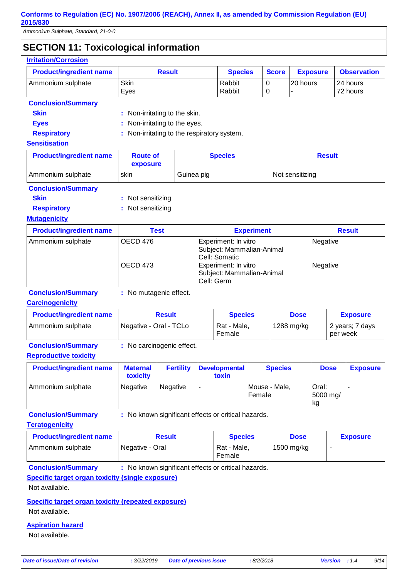*Ammonium Sulphate, Standard, 21-0-0*

**Irritation/Corrosion**

### **SECTION 11: Toxicological information**

| <b>Product/ingredient name</b> | <b>Result</b>                   |                                           |                                                                                                                                       | <b>Species</b>    | <b>Score</b>     | <b>Exposure</b>      |               | <b>Observation</b>   |  |
|--------------------------------|---------------------------------|-------------------------------------------|---------------------------------------------------------------------------------------------------------------------------------------|-------------------|------------------|----------------------|---------------|----------------------|--|
| Ammonium sulphate              | Skin<br>Eyes                    |                                           |                                                                                                                                       | Rabbit<br>Rabbit  | $\mathbf 0$<br>0 | 20 hours             |               | 24 hours<br>72 hours |  |
| <b>Conclusion/Summary</b>      |                                 |                                           |                                                                                                                                       |                   |                  |                      |               |                      |  |
| <b>Skin</b>                    | Non-irritating to the skin.     |                                           |                                                                                                                                       |                   |                  |                      |               |                      |  |
| <b>Eyes</b>                    |                                 | Non-irritating to the eyes.               |                                                                                                                                       |                   |                  |                      |               |                      |  |
| <b>Respiratory</b>             |                                 | Non-irritating to the respiratory system. |                                                                                                                                       |                   |                  |                      |               |                      |  |
| <b>Sensitisation</b>           |                                 |                                           |                                                                                                                                       |                   |                  |                      |               |                      |  |
| <b>Product/ingredient name</b> | <b>Route of</b><br>exposure     |                                           | <b>Species</b>                                                                                                                        |                   |                  |                      | <b>Result</b> |                      |  |
| Ammonium sulphate              | skin                            | Guinea pig                                | Not sensitizing                                                                                                                       |                   |                  |                      |               |                      |  |
| <b>Conclusion/Summary</b>      |                                 |                                           |                                                                                                                                       |                   |                  |                      |               |                      |  |
| <b>Skin</b>                    | Not sensitizing                 |                                           |                                                                                                                                       |                   |                  |                      |               |                      |  |
| <b>Respiratory</b>             | Not sensitizing                 |                                           |                                                                                                                                       |                   |                  |                      |               |                      |  |
| <b>Mutagenicity</b>            |                                 |                                           |                                                                                                                                       |                   |                  |                      |               |                      |  |
| <b>Product/ingredient name</b> | <b>Test</b>                     |                                           |                                                                                                                                       | <b>Experiment</b> |                  |                      |               | <b>Result</b>        |  |
| Ammonium sulphate              | OECD 476<br>OECD <sub>473</sub> |                                           | Experiment: In vitro<br>Subject: Mammalian-Animal<br>Cell: Somatic<br>Experiment: In vitro<br>Subject: Mammalian-Animal<br>Cell: Germ |                   |                  | Negative<br>Negative |               |                      |  |
| <b>Conclusion/Summary</b>      | : No mutagenic effect.          |                                           |                                                                                                                                       |                   |                  |                      |               |                      |  |
| <b>Carcinogenicity</b>         |                                 |                                           |                                                                                                                                       |                   |                  |                      |               |                      |  |
| <b>Product/ingredient name</b> | <b>Result</b>                   |                                           |                                                                                                                                       | <b>Species</b>    |                  | <b>Dose</b>          |               | <b>Exposure</b>      |  |

| Female |  | Ammonium sulphate | Negative - Oral - TCLo | Rat - Male, |
|--------|--|-------------------|------------------------|-------------|
|--------|--|-------------------|------------------------|-------------|

**Conclusion/Summary :** No carcinogenic effect.

#### **Reproductive toxicity**

| <b>Product/ingredient name</b> | <b>Maternal</b><br>toxicity | <b>Fertility</b> | <b>Developmental</b><br>toxin | <b>Species</b>          | <b>Dose</b>             | <b>Exposure</b> |
|--------------------------------|-----------------------------|------------------|-------------------------------|-------------------------|-------------------------|-----------------|
| Ammonium sulphate              | Negative                    | Negative         |                               | Mouse - Male,<br>Female | Oral:<br>5000 mg/<br>kg |                 |

**Conclusion/Summary :** No known significant effects or critical hazards.

#### **Teratogenicity**

| <b>Product/ingredient name</b> | Result          | <b>Species</b>        | <b>Dose</b> | <b>Exposure</b> |
|--------------------------------|-----------------|-----------------------|-------------|-----------------|
| Ammonium sulphate              | Negative - Oral | Rat - Male.<br>Female | 1500 mg/kg  |                 |

**Conclusion/Summary :** No known significant effects or critical hazards.

#### **Specific target organ toxicity (single exposure)**

Not available.

#### **Specific target organ toxicity (repeated exposure)**

Not available.

#### **Aspiration hazard**

Not available.

1288 mg/kg  $\vert$  2 years; 7 days

per week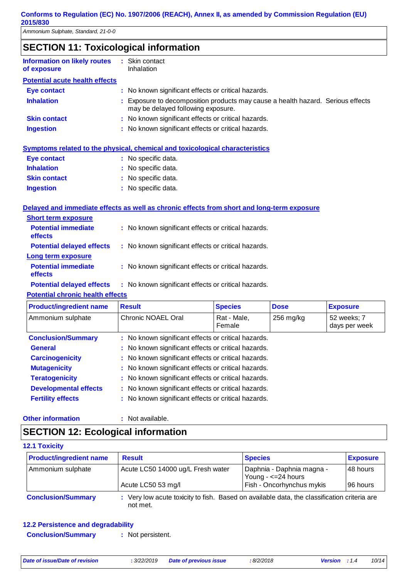| <b>SECTION 11: Toxicological information</b> |
|----------------------------------------------|
|----------------------------------------------|

| <b>Information on likely routes</b><br>of exposure | : Skin contact<br>Inhalation                                                                                          |
|----------------------------------------------------|-----------------------------------------------------------------------------------------------------------------------|
| <b>Potential acute health effects</b>              |                                                                                                                       |
| <b>Eye contact</b>                                 | : No known significant effects or critical hazards.                                                                   |
| <b>Inhalation</b>                                  | : Exposure to decomposition products may cause a health hazard. Serious effects<br>may be delayed following exposure. |
| <b>Skin contact</b>                                | : No known significant effects or critical hazards.                                                                   |
| <b>Ingestion</b>                                   | : No known significant effects or critical hazards.                                                                   |

#### **Symptoms related to the physical, chemical and toxicological characteristics**

| <b>Eye contact</b>  | : No specific data. |
|---------------------|---------------------|
| <b>Inhalation</b>   | : No specific data. |
| <b>Skin contact</b> | : No specific data. |
| <b>Ingestion</b>    | : No specific data. |

#### **Delayed and immediate effects as well as chronic effects from short and long-term exposure**

| <b>Short term exposure</b>                   |                                                     |
|----------------------------------------------|-----------------------------------------------------|
| <b>Potential immediate</b><br><b>effects</b> | : No known significant effects or critical hazards. |
| <b>Potential delayed effects</b>             | : No known significant effects or critical hazards. |
| Long term exposure                           |                                                     |
| <b>Potential immediate</b><br>effects        | : No known significant effects or critical hazards. |
| <b>Potential delayed effects</b>             | : No known significant effects or critical hazards. |
|                                              |                                                     |

#### **Potential chronic health effects**

| <b>Product/ingredient name</b> | <b>Result</b>                                       | <b>Species</b>        | <b>Dose</b> | <b>Exposure</b>              |  |
|--------------------------------|-----------------------------------------------------|-----------------------|-------------|------------------------------|--|
| Ammonium sulphate              | Chronic NOAEL Oral                                  | Rat - Male,<br>Female | $256$ mg/kg | 52 weeks; 7<br>days per week |  |
| <b>Conclusion/Summary</b>      | : No known significant effects or critical hazards. |                       |             |                              |  |
| <b>General</b>                 | : No known significant effects or critical hazards. |                       |             |                              |  |
| <b>Carcinogenicity</b>         | : No known significant effects or critical hazards. |                       |             |                              |  |
| <b>Mutagenicity</b>            | : No known significant effects or critical hazards. |                       |             |                              |  |
| <b>Teratogenicity</b>          | : No known significant effects or critical hazards. |                       |             |                              |  |
| <b>Developmental effects</b>   | : No known significant effects or critical hazards. |                       |             |                              |  |
| <b>Fertility effects</b>       | : No known significant effects or critical hazards. |                       |             |                              |  |

#### **Other information :**

: Not available.

### **SECTION 12: Ecological information**

| <b>12.1 Toxicity</b> |  |
|----------------------|--|
|                      |  |

| <b>Product/ingredient name</b> | <b>Result</b>                                                                                           | <b>Species</b>                                                                | <b>Exposure</b>       |
|--------------------------------|---------------------------------------------------------------------------------------------------------|-------------------------------------------------------------------------------|-----------------------|
| Ammonium sulphate              | Acute LC50 14000 ug/L Fresh water<br>Acute LC50 53 mg/l                                                 | Daphnia - Daphnia magna -<br>Young - <= 24 hours<br>Fish - Oncorhynchus mykis | 48 hours<br>196 hours |
| <b>Conclusion/Summary</b>      | : Very low acute toxicity to fish. Based on available data, the classification criteria are<br>not met. |                                                                               |                       |

#### **12.2 Persistence and degradability**

**Conclusion/Summary :** Not persistent.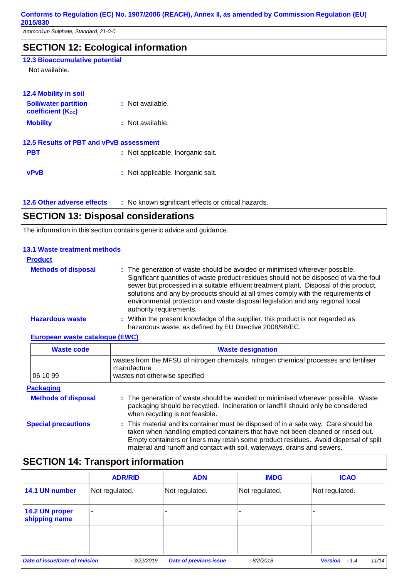*Ammonium Sulphate, Standard, 21-0-0*

### **SECTION 12: Ecological information**

### **12.3 Bioaccumulative potential**

Not available.

| <b>12.4 Mobility in soil</b>                            |                                   |
|---------------------------------------------------------|-----------------------------------|
| <b>Soil/water partition</b><br><b>coefficient (Koc)</b> | : Not available.                  |
| <b>Mobility</b>                                         | : Not available.                  |
| 12.5 Results of PBT and vPvB assessment                 |                                   |
| <b>PBT</b>                                              | : Not applicable. Inorganic salt. |
| <b>vPvB</b>                                             | : Not applicable. Inorganic salt. |

**12.6 Other adverse effects** : No known significant effects or critical hazards.

### **SECTION 13: Disposal considerations**

The information in this section contains generic advice and guidance.

#### **13.1 Waste treatment methods**

| <b>Product</b>             |                                                                                                                                                                                                                                                                                                                                                                                                                                                                   |
|----------------------------|-------------------------------------------------------------------------------------------------------------------------------------------------------------------------------------------------------------------------------------------------------------------------------------------------------------------------------------------------------------------------------------------------------------------------------------------------------------------|
| <b>Methods of disposal</b> | : The generation of waste should be avoided or minimised wherever possible.<br>Significant quantities of waste product residues should not be disposed of via the foul<br>sewer but processed in a suitable effluent treatment plant. Disposal of this product,<br>solutions and any by-products should at all times comply with the requirements of<br>environmental protection and waste disposal legislation and any regional local<br>authority requirements. |
| <b>Hazardous waste</b>     | : Within the present knowledge of the supplier, this product is not regarded as<br>hazardous waste, as defined by EU Directive 2008/98/EC.                                                                                                                                                                                                                                                                                                                        |

#### **European waste catalogue (EWC)**

| <b>Waste code</b>          | <b>Waste designation</b>                                                                                                                                                                                                                                                                                                                     |  |  |
|----------------------------|----------------------------------------------------------------------------------------------------------------------------------------------------------------------------------------------------------------------------------------------------------------------------------------------------------------------------------------------|--|--|
| 06 10 99                   | wastes from the MFSU of nitrogen chemicals, nitrogen chemical processes and fertiliser<br>manufacture<br>wastes not otherwise specified                                                                                                                                                                                                      |  |  |
| <b>Packaging</b>           |                                                                                                                                                                                                                                                                                                                                              |  |  |
| <b>Methods of disposal</b> | : The generation of waste should be avoided or minimised wherever possible. Waste<br>packaging should be recycled. Incineration or landfill should only be considered<br>when recycling is not feasible.                                                                                                                                     |  |  |
| <b>Special precautions</b> | : This material and its container must be disposed of in a safe way. Care should be<br>taken when handling emptied containers that have not been cleaned or rinsed out.<br>Empty containers or liners may retain some product residues. Avoid dispersal of spilt<br>material and runoff and contact with soil, waterways, drains and sewers. |  |  |

## **SECTION 14: Transport information**

|                                 | <b>ADR/RID</b> | <b>ADN</b>                    | <b>IMDG</b>    | <b>ICAO</b>                      |
|---------------------------------|----------------|-------------------------------|----------------|----------------------------------|
| 14.1 UN number                  | Not regulated. | Not regulated.                | Not regulated. | Not regulated.                   |
| 14.2 UN proper<br>shipping name | $\blacksquare$ | ۰                             |                |                                  |
|                                 |                |                               |                |                                  |
| Date of issue/Date of revision  | : 3/22/2019    | <b>Date of previous issue</b> | :8/2/2018      | 11/14<br><b>Version</b><br>: 1.4 |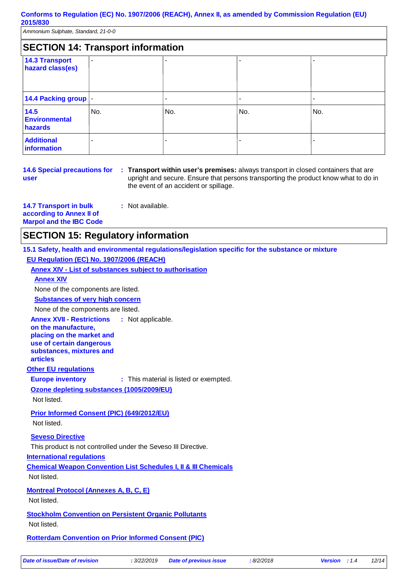*Ammonium Sulphate, Standard, 21-0-0*

| <b>SECTION 14: Transport information</b>  |                |     |     |     |  |
|-------------------------------------------|----------------|-----|-----|-----|--|
| <b>14.3 Transport</b><br>hazard class(es) | $\blacksquare$ |     |     | -   |  |
| 14.4 Packing group  -                     |                |     |     |     |  |
| 14.5<br><b>Environmental</b><br>hazards   | No.            | No. | No. | No. |  |
| <b>Additional</b><br>information          |                |     |     |     |  |

**14.6 Special precautions for user**

**Transport within user's premises:** always transport in closed containers that are **:** upright and secure. Ensure that persons transporting the product know what to do in the event of an accident or spillage.

| <b>14.7 Transport in bulk</b>  |
|--------------------------------|
| according to Annex II of       |
| <b>Marpol and the IBC Code</b> |

### **SECTION 15: Regulatory information**

**15.1 Safety, health and environmental regulations/legislation specific for the substance or mixture EU Regulation (EC) No. 1907/2006 (REACH)**

**Annex XIV - List of substances subject to authorisation**

**:** Not available.

#### **Annex XIV**

None of the components are listed.

**Substances of very high concern**

None of the components are listed.

**Annex XVII - Restrictions** : Not applicable.

**on the manufacture, placing on the market and use of certain dangerous substances, mixtures and articles**

**Other EU regulations**

**Europe inventory** : This material is listed or exempted.

**Ozone depleting substances (1005/2009/EU)**

Not listed.

**Prior Informed Consent (PIC) (649/2012/EU)**

Not listed.

**Seveso Directive**

This product is not controlled under the Seveso III Directive.

**International regulations**

**Chemical Weapon Convention List Schedules I, II & III Chemicals** Not listed.

**Montreal Protocol (Annexes A, B, C, E)**

Not listed.

**Stockholm Convention on Persistent Organic Pollutants** Not listed.

**Rotterdam Convention on Prior Informed Consent (PIC)**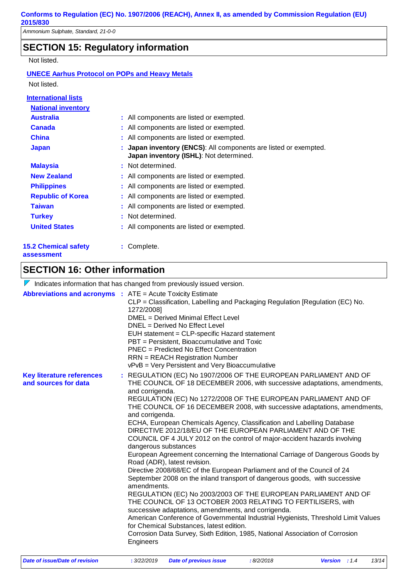### **SECTION 15: Regulatory information**

Not listed.

#### **UNECE Aarhus Protocol on POPs and Heavy Metals** Not listed.

| <b>International lists</b>                |                                                                                                             |
|-------------------------------------------|-------------------------------------------------------------------------------------------------------------|
| <b>National inventory</b>                 |                                                                                                             |
| <b>Australia</b>                          | : All components are listed or exempted.                                                                    |
| <b>Canada</b>                             | : All components are listed or exempted.                                                                    |
| <b>China</b>                              | : All components are listed or exempted.                                                                    |
| <b>Japan</b>                              | : Japan inventory (ENCS): All components are listed or exempted.<br>Japan inventory (ISHL): Not determined. |
| <b>Malaysia</b>                           | : Not determined.                                                                                           |
| <b>New Zealand</b>                        | : All components are listed or exempted.                                                                    |
| <b>Philippines</b>                        | : All components are listed or exempted.                                                                    |
| <b>Republic of Korea</b>                  | : All components are listed or exempted.                                                                    |
| <b>Taiwan</b>                             | : All components are listed or exempted.                                                                    |
| <b>Turkey</b>                             | : Not determined.                                                                                           |
| <b>United States</b>                      | : All components are listed or exempted.                                                                    |
| <b>15.2 Chemical safety</b><br>assessment | : Complete.                                                                                                 |

### **SECTION 16: Other information**

|                                                          | $\sqrt{\ }$ Indicates information that has changed from previously issued version.                                                                                                                                                                                                                                                                                                                                                                                                                                                                                                                                                                                                                                                                                                                                                                                                                                                                                                                                                                                                                                                                                                                                                                                                                 |  |  |  |
|----------------------------------------------------------|----------------------------------------------------------------------------------------------------------------------------------------------------------------------------------------------------------------------------------------------------------------------------------------------------------------------------------------------------------------------------------------------------------------------------------------------------------------------------------------------------------------------------------------------------------------------------------------------------------------------------------------------------------------------------------------------------------------------------------------------------------------------------------------------------------------------------------------------------------------------------------------------------------------------------------------------------------------------------------------------------------------------------------------------------------------------------------------------------------------------------------------------------------------------------------------------------------------------------------------------------------------------------------------------------|--|--|--|
|                                                          | <b>Abbreviations and acronyms : ATE = Acute Toxicity Estimate</b><br>CLP = Classification, Labelling and Packaging Regulation [Regulation (EC) No.<br>1272/2008]<br>DMEL = Derived Minimal Effect Level<br>DNEL = Derived No Effect Level<br>EUH statement = CLP-specific Hazard statement<br>PBT = Persistent, Bioaccumulative and Toxic<br>PNEC = Predicted No Effect Concentration<br><b>RRN</b> = REACH Registration Number<br>vPvB = Very Persistent and Very Bioaccumulative                                                                                                                                                                                                                                                                                                                                                                                                                                                                                                                                                                                                                                                                                                                                                                                                                 |  |  |  |
| <b>Key literature references</b><br>and sources for data | : REGULATION (EC) No 1907/2006 OF THE EUROPEAN PARLIAMENT AND OF<br>THE COUNCIL OF 18 DECEMBER 2006, with successive adaptations, amendments,<br>and corrigenda.<br>REGULATION (EC) No 1272/2008 OF THE EUROPEAN PARLIAMENT AND OF<br>THE COUNCIL OF 16 DECEMBER 2008, with successive adaptations, amendments,<br>and corrigenda.<br>ECHA, European Chemicals Agency, Classification and Labelling Database<br>DIRECTIVE 2012/18/EU OF THE EUROPEAN PARLIAMENT AND OF THE<br>COUNCIL OF 4 JULY 2012 on the control of major-accident hazards involving<br>dangerous substances<br>European Agreement concerning the International Carriage of Dangerous Goods by<br>Road (ADR), latest revision.<br>Directive 2008/68/EC of the European Parliament and of the Council of 24<br>September 2008 on the inland transport of dangerous goods, with successive<br>amendments.<br>REGULATION (EC) No 2003/2003 OF THE EUROPEAN PARLIAMENT AND OF<br>THE COUNCIL OF 13 OCTOBER 2003 RELATING TO FERTILISERS, with<br>successive adaptations, amendments, and corrigenda.<br>American Conference of Governmental Industrial Hygienists, Threshold Limit Values<br>for Chemical Substances, latest edition.<br>Corrosion Data Survey, Sixth Edition, 1985, National Association of Corrosion<br>Engineers |  |  |  |
| Date of issue/Date of revision                           | : 3/22/2019<br><b>Date of previous issue</b><br>:8/2/2018<br><b>Version</b> : 1.4<br>13/14                                                                                                                                                                                                                                                                                                                                                                                                                                                                                                                                                                                                                                                                                                                                                                                                                                                                                                                                                                                                                                                                                                                                                                                                         |  |  |  |